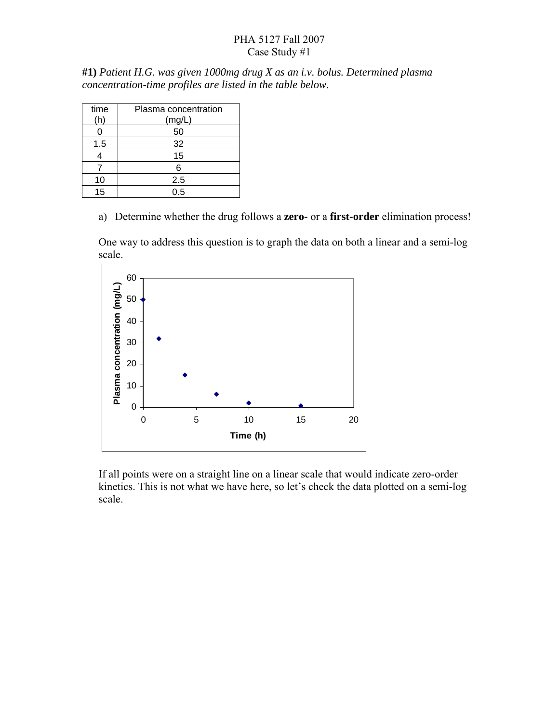## PHA 5127 Fall 2007 Case Study #1

**#1)** *Patient H.G. was given 1000mg drug X as an i.v. bolus. Determined plasma concentration-time profiles are listed in the table below.* 

| time<br>(h | Plasma concentration<br>(mg/L) |
|------------|--------------------------------|
| 0          | 50                             |
| 1.5        | 32                             |
|            | 15                             |
|            | 6                              |
| 10         | 2.5                            |
| 15         | 0.5                            |

a) Determine whether the drug follows a **zero-** or a **first-order** elimination process!

One way to address this question is to graph the data on both a linear and a semi-log scale.



If all points were on a straight line on a linear scale that would indicate zero-order kinetics. This is not what we have here, so let's check the data plotted on a semi-log scale.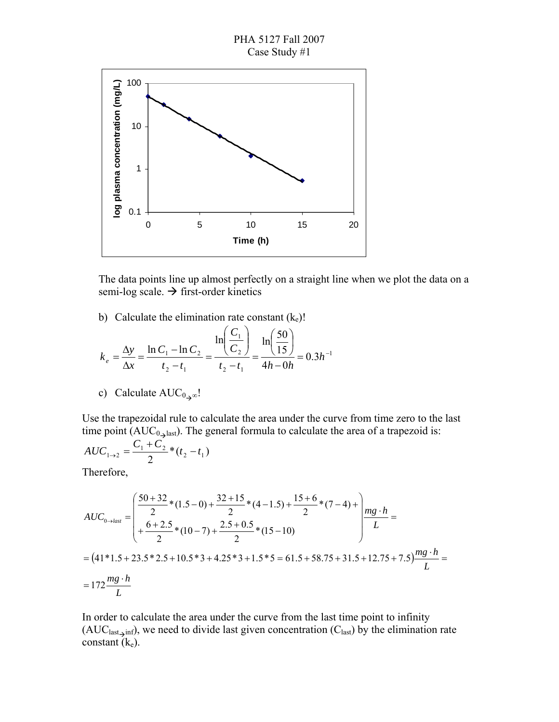



The data points line up almost perfectly on a straight line when we plot the data on a semi-log scale.  $\rightarrow$  first-order kinetics

b) Calculate the elimination rate constant  $(k_e)!$ 

$$
k_e = \frac{\Delta y}{\Delta x} = \frac{\ln C_1 - \ln C_2}{t_2 - t_1} = \frac{\ln \left( \frac{C_1}{C_2} \right)}{t_2 - t_1} = \frac{\ln \left( \frac{50}{15} \right)}{4h - 0h} = 0.3h^{-1}
$$

c) Calculate AUC<sub>0</sub><sub>→∞</sub>!

Use the trapezoidal rule to calculate the area under the curve from time zero to the last time point ( $AUC_{0\rightarrow\text{last}}$ ). The general formula to calculate the area of a trapezoid is:

$$
AUC_{1\to 2} = \frac{C_1 + C_2}{2} * (t_2 - t_1)
$$

Therefore,

$$
AUC_{0\to last} = \begin{pmatrix} \frac{50+32}{2} * (1.5-0) + \frac{32+15}{2} * (4-1.5) + \frac{15+6}{2} * (7-4) + \\ + \frac{6+2.5}{2} * (10-7) + \frac{2.5+0.5}{2} * (15-10) \end{pmatrix} \frac{mg \cdot h}{L} =
$$
  
=  $(41*1.5 + 23.5*2.5 + 10.5*3 + 4.25*3 + 1.5*5 = 61.5 + 58.75 + 31.5 + 12.75 + 7.5) \frac{mg \cdot h}{L} =$   
=  $172 \frac{mg \cdot h}{L}$ 

In order to calculate the area under the curve from the last time point to infinity  $(AUC<sub>last\_inf</sub>)$ , we need to divide last given concentration  $(C<sub>last</sub>)$  by the elimination rate constant  $(k_e)$ .